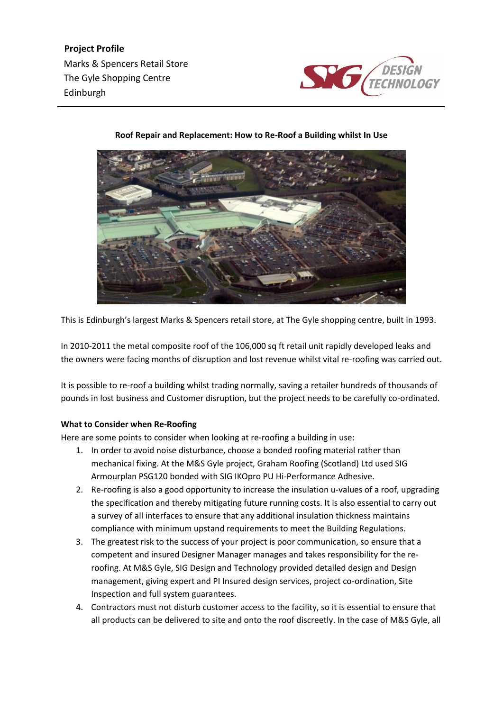Marks & Spencers Retail Store The Gyle Shopping Centre Edinburgh **Project Profile**



## **Roof Repair and Replacement: How to Re-Roof a Building whilst In Use**

This is Edinburgh's largest Marks & Spencers retail store, at The Gyle shopping centre, built in 1993.

In 2010-2011 the metal composite roof of the 106,000 sq ft retail unit rapidly developed leaks and the owners were facing months of disruption and lost revenue whilst vital re-roofing was carried out.

It is possible to re-roof a building whilst trading normally, saving a retailer hundreds of thousands of pounds in lost business and Customer disruption, but the project needs to be carefully co-ordinated.

## **What to Consider when Re-Roofing**

Here are some points to consider when looking at re-roofing a building in use:

- 1. In order to avoid noise disturbance, choose a bonded roofing material rather than mechanical fixing. At the M&S Gyle project, Graham Roofing (Scotland) Ltd used SIG Armourplan PSG120 bonded with SIG IKOpro PU Hi-Performance Adhesive.
- 2. Re-roofing is also a good opportunity to increase the insulation u-values of a roof, upgrading the specification and thereby mitigating future running costs. It is also essential to carry out a survey of all interfaces to ensure that any additional insulation thickness maintains compliance with minimum upstand requirements to meet the Building Regulations.
- 3. The greatest risk to the success of your project is poor communication, so ensure that a competent and insured Designer Manager manages and takes responsibility for the reroofing. At M&S Gyle, SIG Design and Technology provided detailed design and Design management, giving expert and PI Insured design services, project co-ordination, Site Inspection and full system guarantees.
- 4. Contractors must not disturb customer access to the facility, so it is essential to ensure that all products can be delivered to site and onto the roof discreetly. In the case of M&S Gyle, all